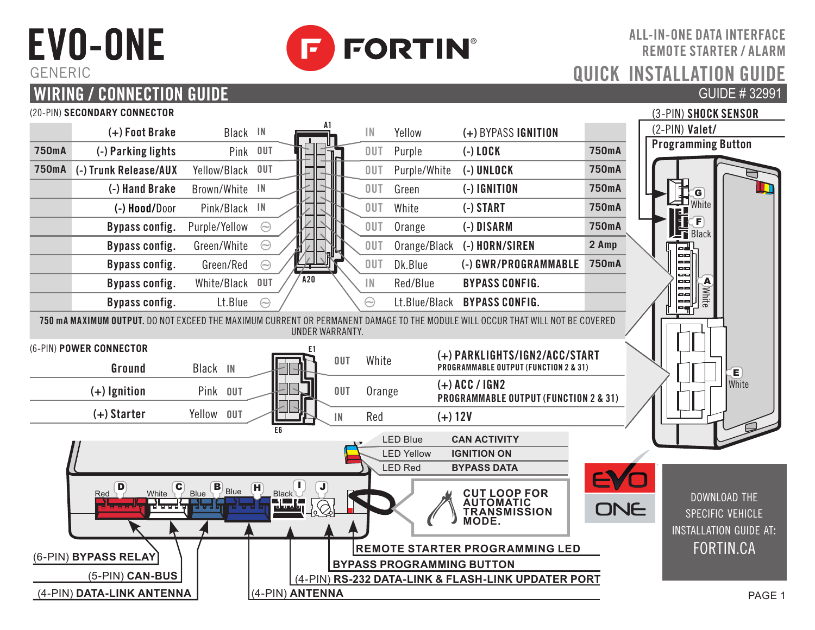## EVO-ONE GENERIC



ALL-IN-ONE DATA INTERFACE REMOTE STARTER / ALARM QUICK INSTALLATION GU GUIDE # 32991

#### **WIRING / CONNECTION GUIDE** (20-PIN) **SECONDARY CONNECTOR A1** (2-PIN) **Valet/ (+) Foot Brake** Black **IN IN** Yellow **(+)** BYPASS **IGNITION Programming Button 750mA (-) Parking lights** Pink **OUT OUT** Purple **(-) LOCK 750mA 750mA (-) Trunk Release/AUX** Yellow/Black **OUT OUT** Purple/White **(-) UNLOCK 750mA (-) Hand Brake** Brown/White **IN OUT** Green **(-) IGNITION 750mA** G **(-) Hood/**Door Pink/Black **IN OUT** White **(-) START 750mA** White**Bypass config.** Purple/Yellow  $\odot$ **OUT** Orange **(-) DISARM 750mA** F **Black**  $\odot$ **OUT** Orange/Black **(-) HORN/SIREN 2 Amp Bypass config.** Green/White **Bypass config.** Green/Red  $\odot$ **OUT** Dk.Blue **(-) GWR/PROGRAMMABLE 750mA A20 Bypass config.** White/Black **OUT IN** Red/Blue **BYPASS CONFIG.** A White **Bypass config.** Lt.Blue  $\approx$ Lt.Blue/Black **BYPASS CONFIG.** 750 mA MAXIMUM OUTPUT. DO NOT EXCEED THE MAXIMUM CURRENT OR PERMANENT DAMAGE TO THE MODULE WILL OCCUR THAT WILL NOT BE COVERED UNDER WARRANTY. (6-PIN) **POWER CONNECTOR E1 OUT** White **(+) PARKLIGHTS/IGN2/ACC/START Ground** Black **IN PROGRAMMABLE OUTPUT (FUNCTION 2 & 31) OUT** Orange **(+) ACC / IGN2 (+) Ignition** Pink **OUT PROGRAMMABLE OUTPUT (FUNCTION 2 & 31) (+) Starter** Yellow **OUT IN** Red **(+) 12V E6** LED Blue **CAN ACTIVITY** LED Yellow **IGNITION ON** LED Red **BYPASS DATA** D  $_{\text{other}}$  C  $_{\text{B}}$  B  $_{\text{Blue}}$  H  $_{\text{B}}$  U **CUT LOOP FOR**  Red White Blue Blue Blue Black download the ومهرمها **AUTOMATIC TRANSMISSION**  ONE **SPECIFIC VEHICLE MODE.** installation guide at: FORTIN.CA **REMOTE STARTER PROGRAMMING LED** (6-PIN) **BYPASS RELAY BYPASS PROGRAMMING BUTTON** (5-PIN) **CAN-BUS** (4-PIN) **RS-232 DATA-LINK & FLASH-LINK UPDATER PORT** (4-PIN) **DATA-LINK ANTENNA** (4-PIN) **ANTENNA**

(3-PIN) SHOCK SENSOR

E

White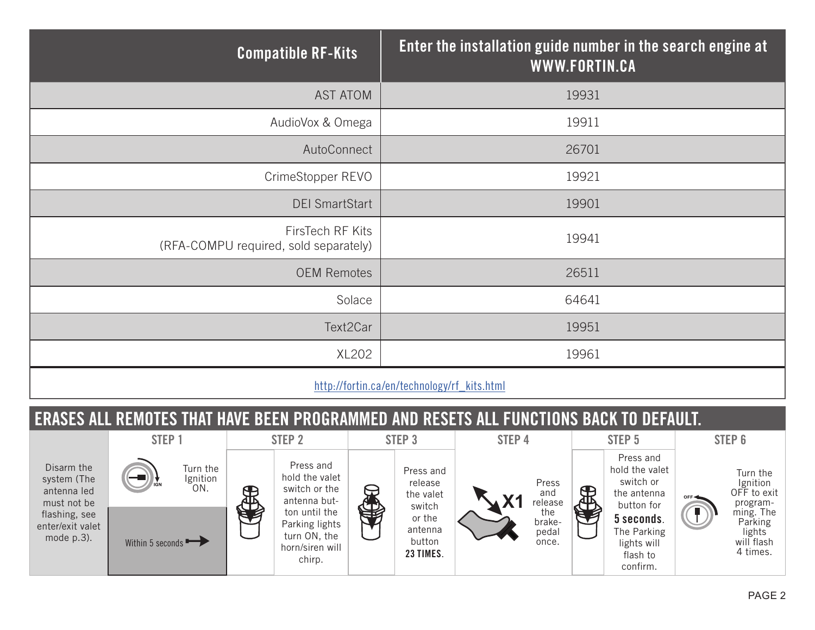| <b>Compatible RF-Kits</b>                                 | Enter the installation guide number in the search engine at<br>WWW.FORTIN.CA |
|-----------------------------------------------------------|------------------------------------------------------------------------------|
| <b>AST ATOM</b>                                           | 19931                                                                        |
| AudioVox & Omega                                          | 19911                                                                        |
| AutoConnect                                               | 26701                                                                        |
| CrimeStopper REVO                                         | 19921                                                                        |
| <b>DEI SmartStart</b>                                     | 19901                                                                        |
| FirsTech RF Kits<br>(RFA-COMPU required, sold separately) | 19941                                                                        |
| <b>OEM Remotes</b>                                        | 26511                                                                        |
| Solace                                                    | 64641                                                                        |
| Text2Car                                                  | 19951                                                                        |
| XL202                                                     | 19961                                                                        |
|                                                           |                                                                              |

http://fortin.ca/en/technology/rf\_kits.html

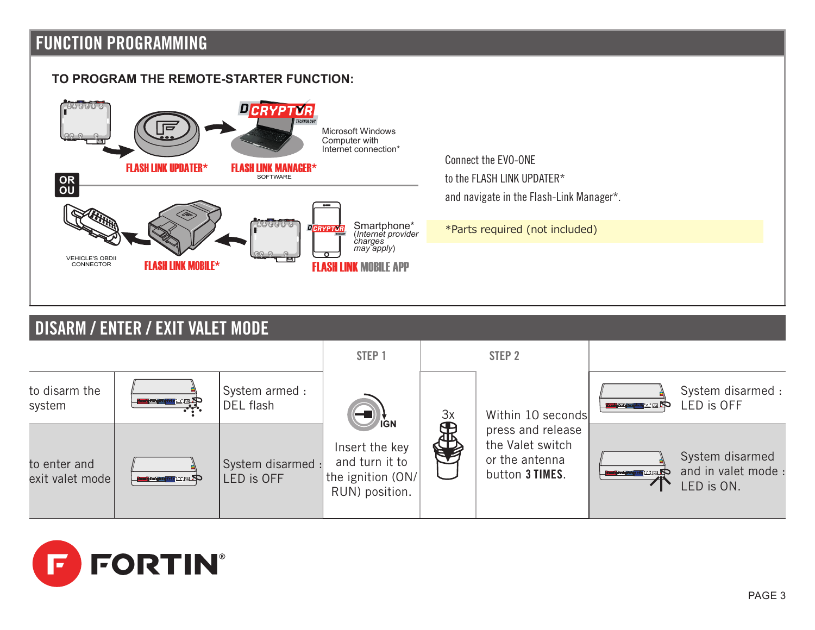## **FUNCTION PROGRAMMING**

exit valet mode

**FORTIN**®



the ignition (ON/ RUN) position.

LED is OFF

button 3 TIMES.

and in valet mode : LED is ON.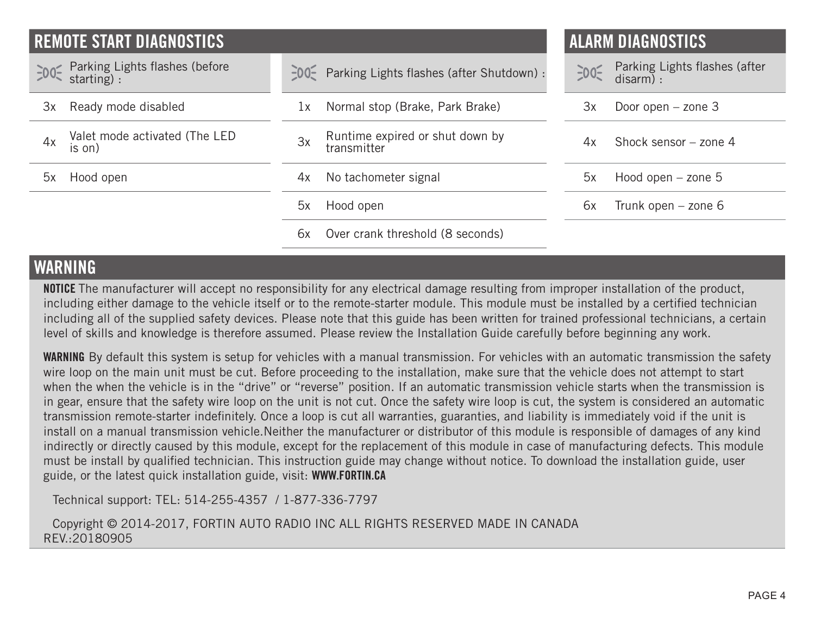| I REMOTE START DIAGNOSTICS                                             |                                                      | <b>ALARM DIAGNOSTICS</b>                           |
|------------------------------------------------------------------------|------------------------------------------------------|----------------------------------------------------|
| Parking Lights flashes (before<br>$\exists$ 00 $\exists$<br>starting): | -00- Parking Lights flashes (after Shutdown) :       | Parking Lights flashes (after<br>$-00$<br>disarm): |
| Ready mode disabled<br>Зx                                              | Normal stop (Brake, Park Brake)<br>1x                | Door open $-$ zone 3<br>3x                         |
| Valet mode activated (The LED<br>4x<br>is on)                          | Runtime expired or shut down by<br>3x<br>transmitter | Shock sensor $-$ zone 4<br>4x                      |
| Hood open<br>5x                                                        | No tachometer signal<br>4x                           | Hood open $-$ zone $5$<br>5x                       |
|                                                                        | 5x<br>Hood open                                      | Trunk open - zone 6<br>6x                          |
|                                                                        | Over crank threshold (8 seconds)<br>6x               |                                                    |

### **WARNING**

NOTICE The manufacturer will accept no responsibility for any electrical damage resulting from improper installation of the product, including either damage to the vehicle itself or to the remote-starter module. This module must be installed by a certified technician including all of the supplied safety devices. Please note that this guide has been written for trained professional technicians, a certain level of skills and knowledge is therefore assumed. Please review the Installation Guide carefully before beginning any work.

WARNING By default this system is setup for vehicles with a manual transmission. For vehicles with an automatic transmission the safety wire loop on the main unit must be cut. Before proceeding to the installation, make sure that the vehicle does not attempt to start when the when the vehicle is in the "drive" or "reverse" position. If an automatic transmission vehicle starts when the transmission is in gear, ensure that the safety wire loop on the unit is not cut. Once the safety wire loop is cut, the system is considered an automatic transmission remote-starter indefinitely. Once a loop is cut all warranties, guaranties, and liability is immediately void if the unit is install on a manual transmission vehicle.Neither the manufacturer or distributor of this module is responsible of damages of any kind indirectly or directly caused by this module, except for the replacement of this module in case of manufacturing defects. This module must be install by qualified technician. This instruction guide may change without notice. To download the installation guide, user guide, or the latest quick installation guide, visit: WWW.FORTIN.CA

Technical support: TEL: 514-255-4357 / 1-877-336-7797

Copyright © 2014-2017, FORTIN AUTO RADIO INC ALL RIGHTS RESERVED MADE IN CANADA REV.:20180905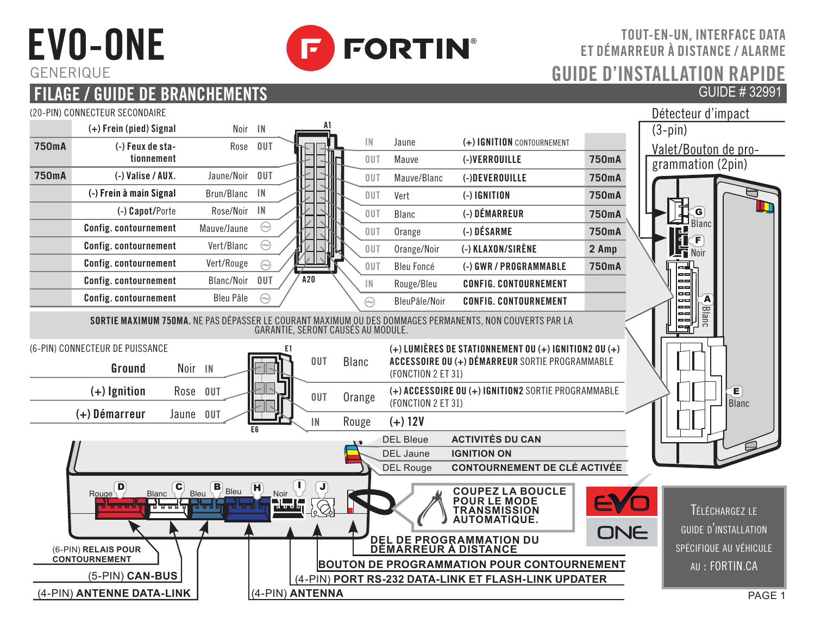# EVO-ONE **GENERIOUE**



### TOUT-EN-UN, INTERFACE DATA ET DÉMARREUR À DISTANCE / ALARME GUIDE D'INSTALLATION GUIDE # 32991

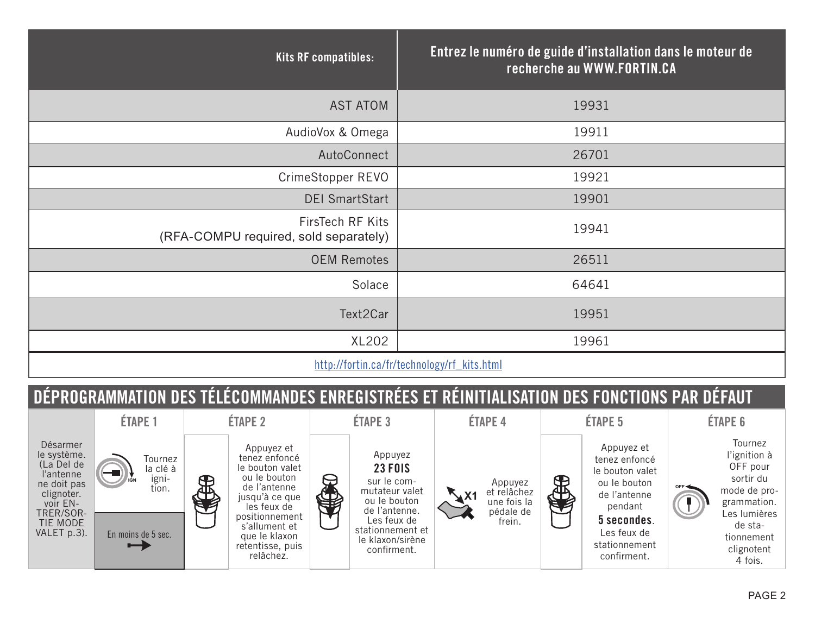| Kits RF compatibles:                                                                                                                                                                                                              | Entrez le numéro de guide d'installation dans le moteur de<br>recherche au WWW.FORTIN.CA |  |
|-----------------------------------------------------------------------------------------------------------------------------------------------------------------------------------------------------------------------------------|------------------------------------------------------------------------------------------|--|
| <b>AST ATOM</b>                                                                                                                                                                                                                   | 19931                                                                                    |  |
| AudioVox & Omega                                                                                                                                                                                                                  | 19911                                                                                    |  |
| AutoConnect                                                                                                                                                                                                                       | 26701                                                                                    |  |
| CrimeStopper REVO                                                                                                                                                                                                                 | 19921                                                                                    |  |
| <b>DEI SmartStart</b>                                                                                                                                                                                                             | 19901                                                                                    |  |
| FirsTech RF Kits<br>(RFA-COMPU required, sold separately)                                                                                                                                                                         | 19941                                                                                    |  |
| <b>OEM Remotes</b>                                                                                                                                                                                                                | 26511                                                                                    |  |
| Solace                                                                                                                                                                                                                            | 64641                                                                                    |  |
| Text2Car                                                                                                                                                                                                                          | 19951                                                                                    |  |
| XL202                                                                                                                                                                                                                             | 19961                                                                                    |  |
| $\mathbf{r}$ , and the contract of the contract of the contract of the contract of the contract of the contract of the contract of the contract of the contract of the contract of the contract of the contract of the contract o |                                                                                          |  |

#### http://fortin.ca/fr/technology/rf\_kits.html

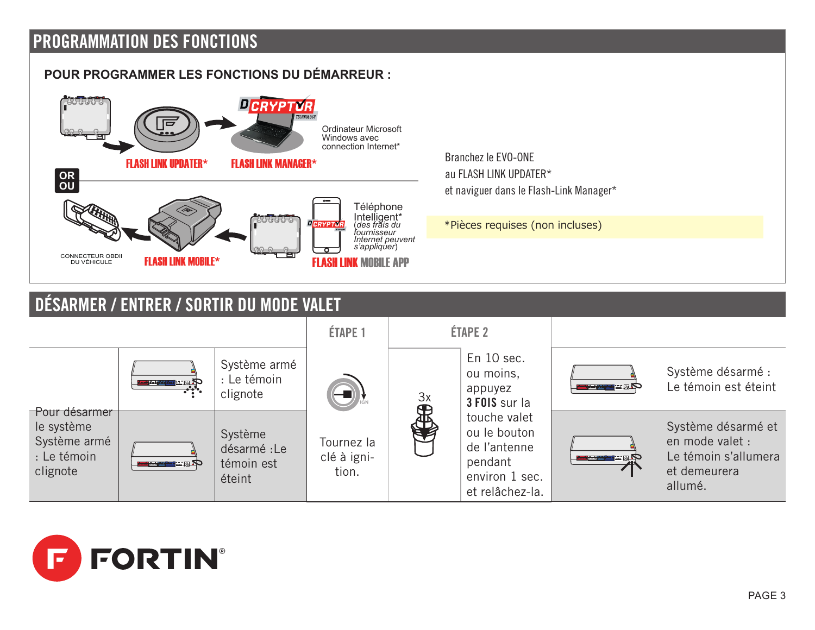## **PROGRAMMATION DES FONCTIONS**

#### **POUR PROGRAMMER LES FONCTIONS DU DÉMARREUR :**



Branchez le EVO-ONE au FLASH LINK UPDATER\* et naviguer dans le Flash-Link Manager\*

\*Pièces requises (non incluses)

## **DÉSARMER / ENTRER / SORTIR DU MODE VALET**